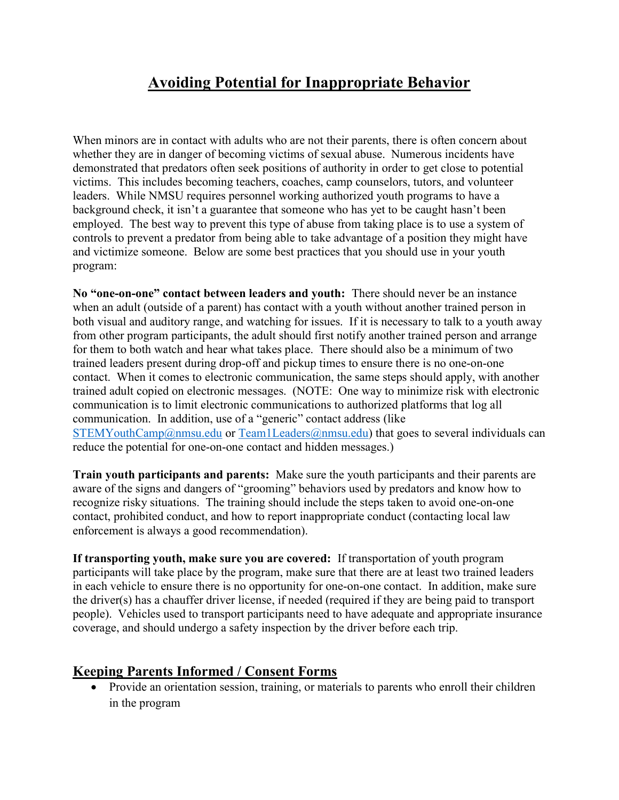## Avoiding Potential for Inappropriate Behavior

When minors are in contact with adults who are not their parents, there is often concern about whether they are in danger of becoming victims of sexual abuse. Numerous incidents have demonstrated that predators often seek positions of authority in order to get close to potential victims. This includes becoming teachers, coaches, camp counselors, tutors, and volunteer leaders. While NMSU requires personnel working authorized youth programs to have a background check, it isn't a guarantee that someone who has yet to be caught hasn't been employed. The best way to prevent this type of abuse from taking place is to use a system of controls to prevent a predator from being able to take advantage of a position they might have and victimize someone. Below are some best practices that you should use in your youth program:

No "one-on-one" contact between leaders and youth: There should never be an instance when an adult (outside of a parent) has contact with a youth without another trained person in both visual and auditory range, and watching for issues. If it is necessary to talk to a youth away from other program participants, the adult should first notify another trained person and arrange for them to both watch and hear what takes place. There should also be a minimum of two trained leaders present during drop-off and pickup times to ensure there is no one-on-one contact. When it comes to electronic communication, the same steps should apply, with another trained adult copied on electronic messages. (NOTE: One way to minimize risk with electronic communication is to limit electronic communications to authorized platforms that log all communication. In addition, use of a "generic" contact address (like STEMYouthCamp@nmsu.edu or Team1Leaders@nmsu.edu) that goes to several individuals can reduce the potential for one-on-one contact and hidden messages.)

Train youth participants and parents: Make sure the youth participants and their parents are aware of the signs and dangers of "grooming" behaviors used by predators and know how to recognize risky situations. The training should include the steps taken to avoid one-on-one contact, prohibited conduct, and how to report inappropriate conduct (contacting local law enforcement is always a good recommendation).

If transporting youth, make sure you are covered: If transportation of youth program participants will take place by the program, make sure that there are at least two trained leaders in each vehicle to ensure there is no opportunity for one-on-one contact. In addition, make sure the driver(s) has a chauffer driver license, if needed (required if they are being paid to transport people). Vehicles used to transport participants need to have adequate and appropriate insurance coverage, and should undergo a safety inspection by the driver before each trip.

## Keeping Parents Informed / Consent Forms

• Provide an orientation session, training, or materials to parents who enroll their children in the program